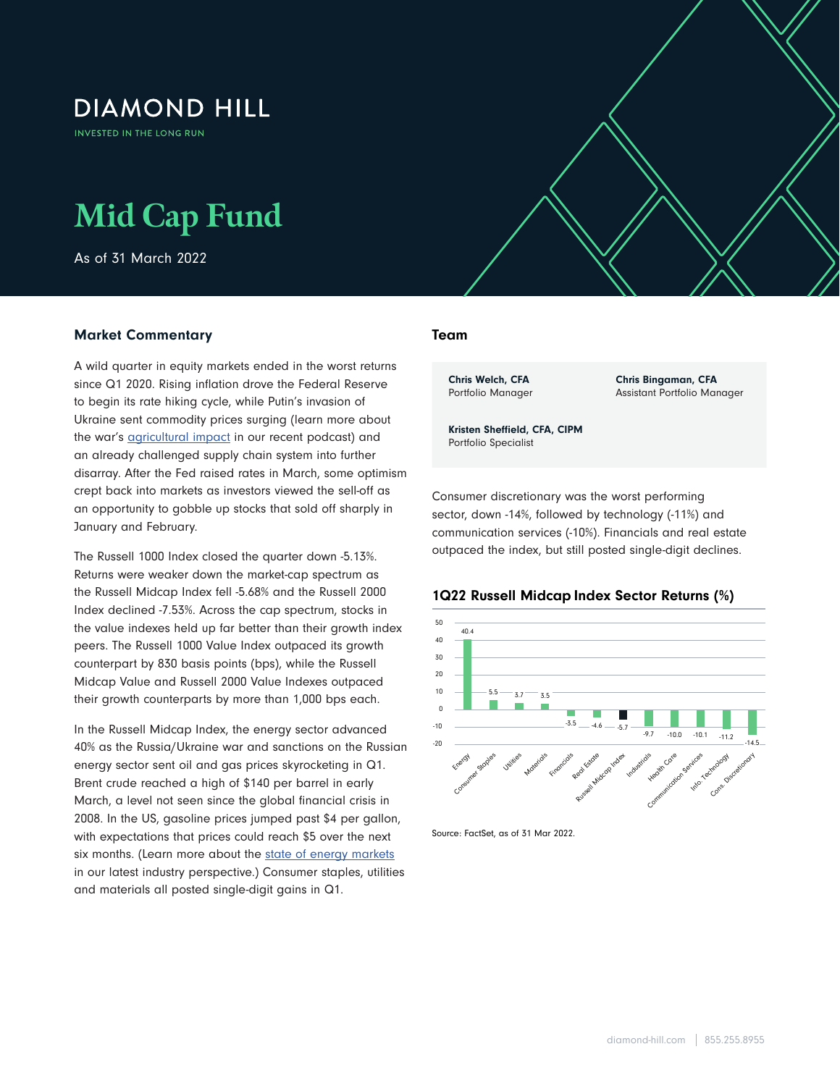## **DIAMOND HILL**

INVESTED IN THE LONG RUN

# **Mid Cap Fund**

As of 31 March 2022

### Market Commentary

A wild quarter in equity markets ended in the worst returns since Q1 2020. Rising inflation drove the Federal Reserve to begin its rate hiking cycle, while Putin's invasion of Ukraine sent commodity prices surging (learn more about the war's **agricultural impact** in our recent podcast) and an already challenged supply chain system into further disarray. After the Fed raised rates in March, some optimism crept back into markets as investors viewed the sell-off as an opportunity to gobble up stocks that sold off sharply in January and February.

The Russell 1000 Index closed the quarter down -5.13%. Returns were weaker down the market-cap spectrum as the Russell Midcap Index fell -5.68% and the Russell 2000 Index declined -7.53%. Across the cap spectrum, stocks in the value indexes held up far better than their growth index peers. The Russell 1000 Value Index outpaced its growth counterpart by 830 basis points (bps), while the Russell Midcap Value and Russell 2000 Value Indexes outpaced their growth counterparts by more than 1,000 bps each.

In the Russell Midcap Index, the energy sector advanced 40% as the Russia/Ukraine war and sanctions on the Russian energy sector sent oil and gas prices skyrocketing in Q1. Brent crude reached a high of \$140 per barrel in early March, a level not seen since the global financial crisis in 2008. In the US, gasoline prices jumped past \$4 per gallon, with expectations that prices could reach \$5 over the next six months. (Learn more about the [state of energy markets](https://www.diamond-hill.com/insights/a-400/geopolitics-the-state-of-energy-markets-today.fs) in our latest industry perspective.) Consumer staples, utilities and materials all posted single-digit gains in Q1.

#### Team

 $\mathcal{L}$  and  $\mathcal{L}$  and  $\mathcal{L}$  and  $\mathcal{L}$  and  $\mathcal{L}$  and  $\mathcal{L}$  and  $\mathcal{L}$ 

Chris Welch, CFA Portfolio Manager Chris Bingaman, CFA Assistant Portfolio Manager

Kristen Sheffield, CFA, CIPM Portfolio Specialist

Consumer discretionary was the worst performing sector, down -14%, followed by technology (-11%) and communication services (-10%). Financials and real estate outpaced the index, but still posted single-digit declines.

#### 1Q22 Russell Midcap Index Sector Returns (%)



Source: FactSet, as of 31 Mar 2022.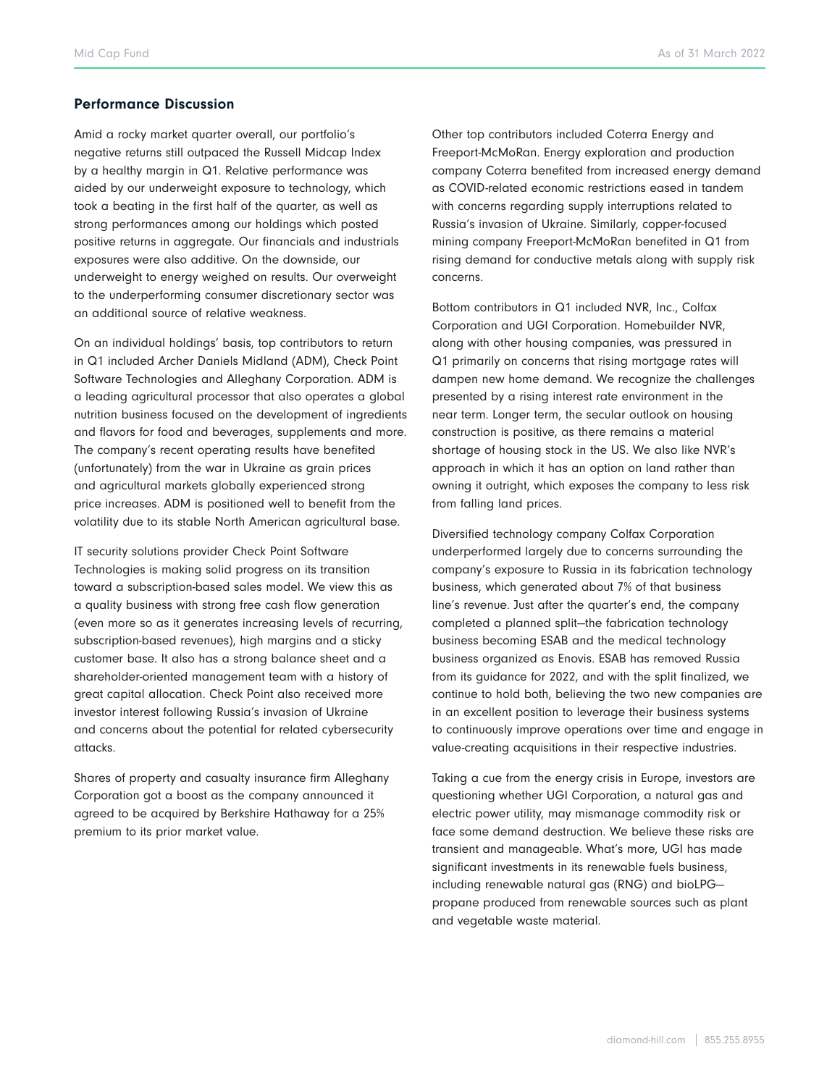#### Performance Discussion

Amid a rocky market quarter overall, our portfolio's negative returns still outpaced the Russell Midcap Index by a healthy margin in Q1. Relative performance was aided by our underweight exposure to technology, which took a beating in the first half of the quarter, as well as strong performances among our holdings which posted positive returns in aggregate. Our financials and industrials exposures were also additive. On the downside, our underweight to energy weighed on results. Our overweight to the underperforming consumer discretionary sector was an additional source of relative weakness.

On an individual holdings' basis, top contributors to return in Q1 included Archer Daniels Midland (ADM), Check Point Software Technologies and Alleghany Corporation. ADM is a leading agricultural processor that also operates a global nutrition business focused on the development of ingredients and flavors for food and beverages, supplements and more. The company's recent operating results have benefited (unfortunately) from the war in Ukraine as grain prices and agricultural markets globally experienced strong price increases. ADM is positioned well to benefit from the volatility due to its stable North American agricultural base.

IT security solutions provider Check Point Software Technologies is making solid progress on its transition toward a subscription-based sales model. We view this as a quality business with strong free cash flow generation (even more so as it generates increasing levels of recurring, subscription-based revenues), high margins and a sticky customer base. It also has a strong balance sheet and a shareholder-oriented management team with a history of great capital allocation. Check Point also received more investor interest following Russia's invasion of Ukraine and concerns about the potential for related cybersecurity attacks.

Shares of property and casualty insurance firm Alleghany Corporation got a boost as the company announced it agreed to be acquired by Berkshire Hathaway for a 25% premium to its prior market value.

Other top contributors included Coterra Energy and Freeport-McMoRan. Energy exploration and production company Coterra benefited from increased energy demand as COVID-related economic restrictions eased in tandem with concerns regarding supply interruptions related to Russia's invasion of Ukraine. Similarly, copper-focused mining company Freeport-McMoRan benefited in Q1 from rising demand for conductive metals along with supply risk concerns.

Bottom contributors in Q1 included NVR, Inc., Colfax Corporation and UGI Corporation. Homebuilder NVR, along with other housing companies, was pressured in Q1 primarily on concerns that rising mortgage rates will dampen new home demand. We recognize the challenges presented by a rising interest rate environment in the near term. Longer term, the secular outlook on housing construction is positive, as there remains a material shortage of housing stock in the US. We also like NVR's approach in which it has an option on land rather than owning it outright, which exposes the company to less risk from falling land prices.

Diversified technology company Colfax Corporation underperformed largely due to concerns surrounding the company's exposure to Russia in its fabrication technology business, which generated about 7% of that business line's revenue. Just after the quarter's end, the company completed a planned split—the fabrication technology business becoming ESAB and the medical technology business organized as Enovis. ESAB has removed Russia from its guidance for 2022, and with the split finalized, we continue to hold both, believing the two new companies are in an excellent position to leverage their business systems to continuously improve operations over time and engage in value-creating acquisitions in their respective industries.

Taking a cue from the energy crisis in Europe, investors are questioning whether UGI Corporation, a natural gas and electric power utility, may mismanage commodity risk or face some demand destruction. We believe these risks are transient and manageable. What's more, UGI has made significant investments in its renewable fuels business, including renewable natural gas (RNG) and bioLPG propane produced from renewable sources such as plant and vegetable waste material.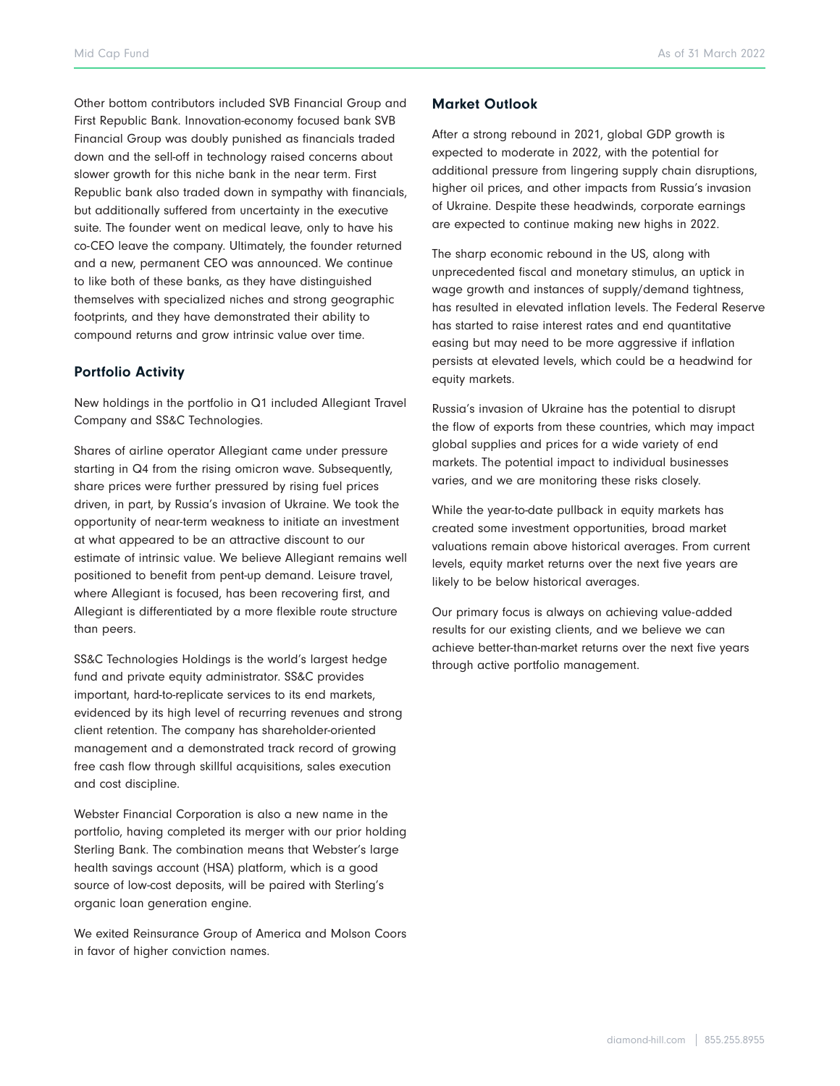Other bottom contributors included SVB Financial Group and First Republic Bank. Innovation-economy focused bank SVB Financial Group was doubly punished as financials traded down and the sell-off in technology raised concerns about slower growth for this niche bank in the near term. First Republic bank also traded down in sympathy with financials, but additionally suffered from uncertainty in the executive suite. The founder went on medical leave, only to have his co-CEO leave the company. Ultimately, the founder returned and a new, permanent CEO was announced. We continue to like both of these banks, as they have distinguished themselves with specialized niches and strong geographic footprints, and they have demonstrated their ability to compound returns and grow intrinsic value over time.

#### Portfolio Activity

New holdings in the portfolio in Q1 included Allegiant Travel Company and SS&C Technologies.

Shares of airline operator Allegiant came under pressure starting in Q4 from the rising omicron wave. Subsequently, share prices were further pressured by rising fuel prices driven, in part, by Russia's invasion of Ukraine. We took the opportunity of near-term weakness to initiate an investment at what appeared to be an attractive discount to our estimate of intrinsic value. We believe Allegiant remains well positioned to benefit from pent-up demand. Leisure travel, where Allegiant is focused, has been recovering first, and Allegiant is differentiated by a more flexible route structure than peers.

SS&C Technologies Holdings is the world's largest hedge fund and private equity administrator. SS&C provides important, hard-to-replicate services to its end markets, evidenced by its high level of recurring revenues and strong client retention. The company has shareholder-oriented management and a demonstrated track record of growing free cash flow through skillful acquisitions, sales execution and cost discipline.

Webster Financial Corporation is also a new name in the portfolio, having completed its merger with our prior holding Sterling Bank. The combination means that Webster's large health savings account (HSA) platform, which is a good source of low-cost deposits, will be paired with Sterling's organic loan generation engine.

We exited Reinsurance Group of America and Molson Coors in favor of higher conviction names.

#### Market Outlook

After a strong rebound in 2021, global GDP growth is expected to moderate in 2022, with the potential for additional pressure from lingering supply chain disruptions, higher oil prices, and other impacts from Russia's invasion of Ukraine. Despite these headwinds, corporate earnings are expected to continue making new highs in 2022.

The sharp economic rebound in the US, along with unprecedented fiscal and monetary stimulus, an uptick in wage growth and instances of supply/demand tightness, has resulted in elevated inflation levels. The Federal Reserve has started to raise interest rates and end quantitative easing but may need to be more aggressive if inflation persists at elevated levels, which could be a headwind for equity markets.

Russia's invasion of Ukraine has the potential to disrupt the flow of exports from these countries, which may impact global supplies and prices for a wide variety of end markets. The potential impact to individual businesses varies, and we are monitoring these risks closely.

While the year-to-date pullback in equity markets has created some investment opportunities, broad market valuations remain above historical averages. From current levels, equity market returns over the next five years are likely to be below historical averages.

Our primary focus is always on achieving value-added results for our existing clients, and we believe we can achieve better-than-market returns over the next five years through active portfolio management.